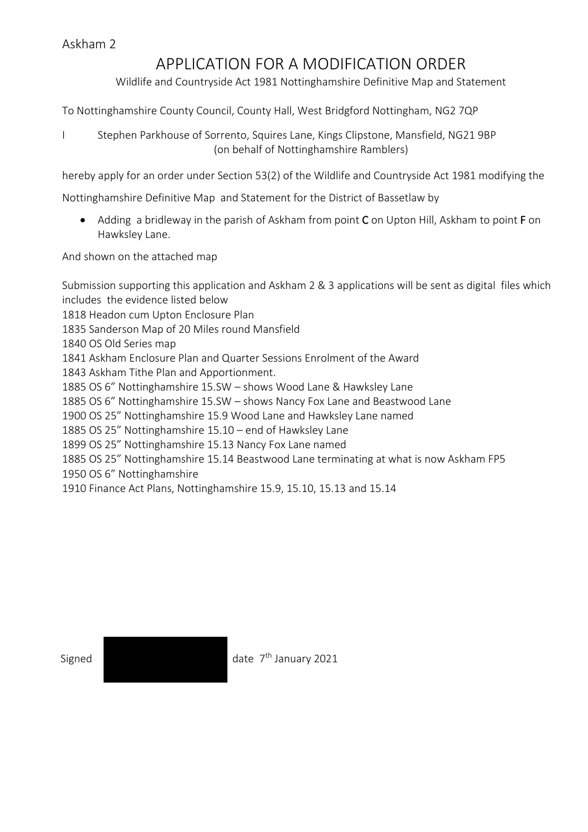## APPLICATION FOR A MODIFICATION ORDER

Wildlife and Countryside Act 1981 Nottinghamshire Definitive Map and Statement

To Nottinghamshire County Council, County Hall, West Bridgford Nottingham, NG2 7QP

I Stephen Parkhouse of Sorrento, Squires Lane, Kings Clipstone, Mansfield, NG21 9BP (on behalf of Nottinghamshire Ramblers)

hereby apply for an order under Section 53(2) of the Wildlife and Countryside Act 1981 modifying the

Nottinghamshire Definitive Map and Statement for the District of Bassetlaw by

• Adding a bridleway in the parish of Askham from point C on Upton Hill, Askham to point F on Hawksley Lane.

And shown on the attached map

Submission supporting this application and Askham 2 & 3 applications will be sent as digital files which includes the evidence listed below 1818 Headon cum Upton Enclosure Plan 1835 Sanderson Map of 20 Miles round Mansfield 1840 OS Old Series map 1841 Askham Enclosure Plan and Quarter Sessions Enrolment of the Award 1843 Askham Tithe Plan and Apportionment. 1885 OS 6" Nottinghamshire 15.SW – shows Wood Lane & Hawksley Lane 1885 OS 6" Nottinghamshire 15.SW – shows Nancy Fox Lane and Beastwood Lane 1900 OS 25" Nottinghamshire 15.9 Wood Lane and Hawksley Lane named 1885 OS 25" Nottinghamshire 15.10 – end of Hawksley Lane 1899 OS 25" Nottinghamshire 15.13 Nancy Fox Lane named 1885 OS 25" Nottinghamshire 15.14 Beastwood Lane terminating at what is now Askham FP5 1950 OS 6" Nottinghamshire 1910 Finance Act Plans, Nottinghamshire 15.9, 15.10, 15.13 and 15.14

Signed **date 7<sup>th</sup> January 2021**